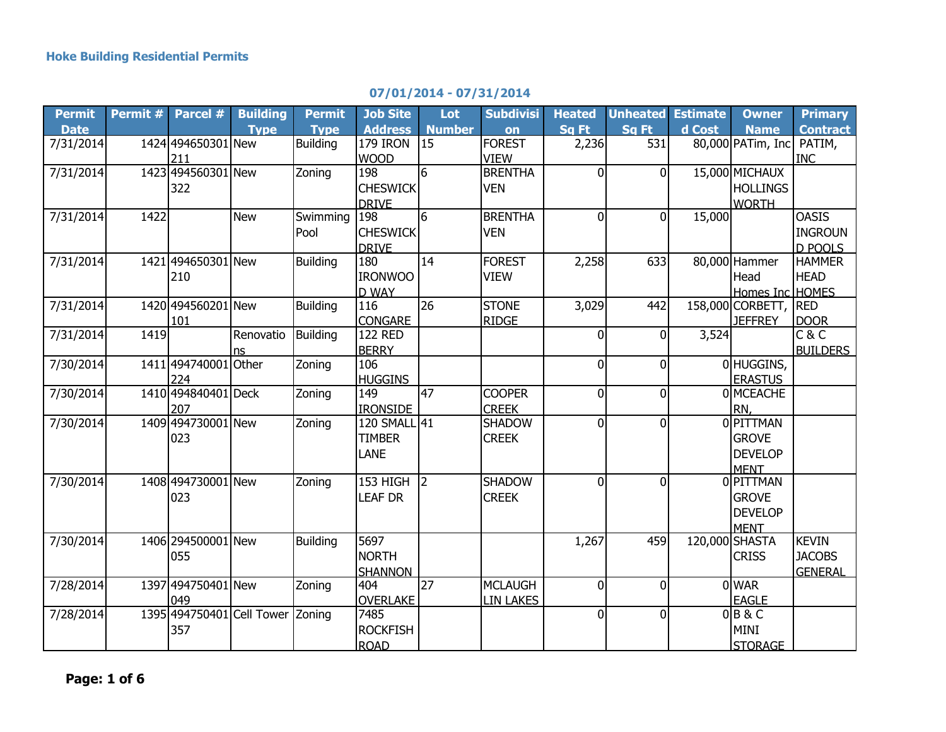## **07/01/2014 - 07/31/2014**

| <b>Permit</b> | Permit # | Parcel #                         | <b>Building</b> | <b>Permit</b>   | <b>Job Site</b>      | Lot             | <b>Subdivisi</b> | <b>Heated</b>  | <b>Unheated</b> | <b>Estimate</b> | <b>Owner</b>         | <b>Primary</b>  |
|---------------|----------|----------------------------------|-----------------|-----------------|----------------------|-----------------|------------------|----------------|-----------------|-----------------|----------------------|-----------------|
| <b>Date</b>   |          |                                  | <b>Type</b>     | <b>Type</b>     | <b>Address</b>       | <b>Number</b>   | on               | Sq Ft          | Sq Ft           | d Cost          | <b>Name</b>          | <b>Contract</b> |
| 7/31/2014     |          | 1424 494650301 New               |                 | <b>Building</b> | <b>179 IRON</b>      | 15              | <b>FOREST</b>    | 2,236          | 531             |                 | 80,000 PATim, Inc    | PATIM,          |
|               |          | 211                              |                 |                 | <b>WOOD</b>          |                 | <b>VIEW</b>      |                |                 |                 |                      | <b>INC</b>      |
| 7/31/2014     |          | 1423 494560301 New               |                 | Zoning          | 198                  | $6\overline{6}$ | <b>BRENTHA</b>   | 0              | U               |                 | 15,000 MICHAUX       |                 |
|               |          | 322                              |                 |                 | <b>CHESWICK</b>      |                 | <b>VEN</b>       |                |                 |                 | <b>HOLLINGS</b>      |                 |
|               |          |                                  |                 |                 | <b>DRIVE</b>         |                 |                  |                |                 |                 | <b>WORTH</b>         |                 |
| 7/31/2014     | 1422     |                                  | <b>New</b>      | Swimming        | 198                  | $6\overline{6}$ | <b>BRENTHA</b>   | $\Omega$       | 0               | 15,000          |                      | <b>OASIS</b>    |
|               |          |                                  |                 | Pool            | <b>CHESWICK</b>      |                 | <b>VEN</b>       |                |                 |                 |                      | <b>INGROUN</b>  |
|               |          |                                  |                 |                 | <b>DRIVE</b>         |                 |                  |                |                 |                 |                      | <b>D POOLS</b>  |
| 7/31/2014     |          | 1421 494650301 New               |                 | <b>Building</b> | 180                  | 14              | <b>FOREST</b>    | 2,258          | 633             |                 | 80,000 Hammer        | <b>HAMMER</b>   |
|               |          | 210                              |                 |                 | <b>IRONWOO</b>       |                 | <b>VIEW</b>      |                |                 |                 | Head                 | <b>HEAD</b>     |
|               |          |                                  |                 |                 | <b>D WAY</b>         |                 |                  |                |                 |                 | Homes Inc HOMES      |                 |
| 7/31/2014     |          | 1420 494560201 New               |                 | <b>Building</b> | 116                  | $\overline{26}$ | <b>STONE</b>     | 3,029          | 442             |                 | 158,000 CORBETT, RED |                 |
|               |          | 101                              |                 |                 | <b>CONGARE</b>       |                 | <b>RIDGE</b>     |                |                 |                 | <b>JEFFREY</b>       | <b>DOOR</b>     |
| 7/31/2014     | 1419     |                                  | Renovatio       | <b>Building</b> | $\overline{122}$ RED |                 |                  | 0              | 0               | 3,524           |                      | C & C           |
|               |          |                                  | ns              |                 | <b>BERRY</b>         |                 |                  |                |                 |                 |                      | <b>BUILDERS</b> |
| 7/30/2014     |          | 1411 494740001 Other             |                 | Zoning          | 106                  |                 |                  | $\Omega$       | 0               |                 | 0 HUGGINS,           |                 |
|               |          | 224                              |                 |                 | <b>HUGGINS</b>       |                 |                  |                |                 |                 | <b>ERASTUS</b>       |                 |
| 7/30/2014     |          | 1410 494840401 Deck              |                 | Zoning          | 149                  | 47              | <b>COOPER</b>    | $\overline{0}$ | 0               |                 | 0 MCEACHE            |                 |
|               |          | 207                              |                 |                 | <b>IRONSIDE</b>      |                 | <b>CREEK</b>     |                |                 |                 | RN,                  |                 |
| 7/30/2014     |          | 1409 494730001 New               |                 | Zoning          | 120 SMALL 41         |                 | <b>SHADOW</b>    | $\Omega$       | 0               |                 | 0 PITTMAN            |                 |
|               |          | 023                              |                 |                 | <b>TIMBER</b>        |                 | <b>CREEK</b>     |                |                 |                 | <b>GROVE</b>         |                 |
|               |          |                                  |                 |                 | LANE                 |                 |                  |                |                 |                 | <b>DEVELOP</b>       |                 |
|               |          |                                  |                 |                 |                      |                 |                  |                |                 |                 | <b>MENT</b>          |                 |
| 7/30/2014     |          | 1408 494730001 New               |                 | Zoning          | $153$ HIGH 2         |                 | <b>SHADOW</b>    | $\Omega$       | 0               |                 | 0 PITTMAN            |                 |
|               |          | 023                              |                 |                 | <b>LEAF DR</b>       |                 | <b>CREEK</b>     |                |                 |                 | <b>GROVE</b>         |                 |
|               |          |                                  |                 |                 |                      |                 |                  |                |                 |                 | <b>DEVELOP</b>       |                 |
|               |          |                                  |                 |                 |                      |                 |                  |                |                 |                 | <b>MENT</b>          |                 |
| 7/30/2014     |          | 1406 294500001 New               |                 | <b>Building</b> | 5697                 |                 |                  | 1,267          | 459             |                 | 120,000 SHASTA       | <b>KEVIN</b>    |
|               |          | 055                              |                 |                 | NORTH                |                 |                  |                |                 |                 | <b>CRISS</b>         | <b>JACOBS</b>   |
|               |          |                                  |                 |                 | <b>SHANNON</b>       |                 |                  |                |                 |                 |                      | <b>GENERAI</b>  |
| 7/28/2014     |          | 1397 494750401 New               |                 | Zoning          | 404                  | $\overline{27}$ | <b>MCLAUGH</b>   | $\overline{0}$ | 0               |                 | 0WAR                 |                 |
|               |          | 049                              |                 |                 | <b>OVERLAKE</b>      |                 | <b>LIN LAKES</b> |                |                 |                 | <b>EAGLE</b>         |                 |
| 7/28/2014     |          | 1395 494750401 Cell Tower Zoning |                 |                 | 7485                 |                 |                  | $\overline{0}$ | $\overline{0}$  |                 | $0$ B&C              |                 |
|               |          | 357                              |                 |                 | <b>ROCKFISH</b>      |                 |                  |                |                 |                 | <b>MINI</b>          |                 |
|               |          |                                  |                 |                 | <b>ROAD</b>          |                 |                  |                |                 |                 | <b>STORAGE</b>       |                 |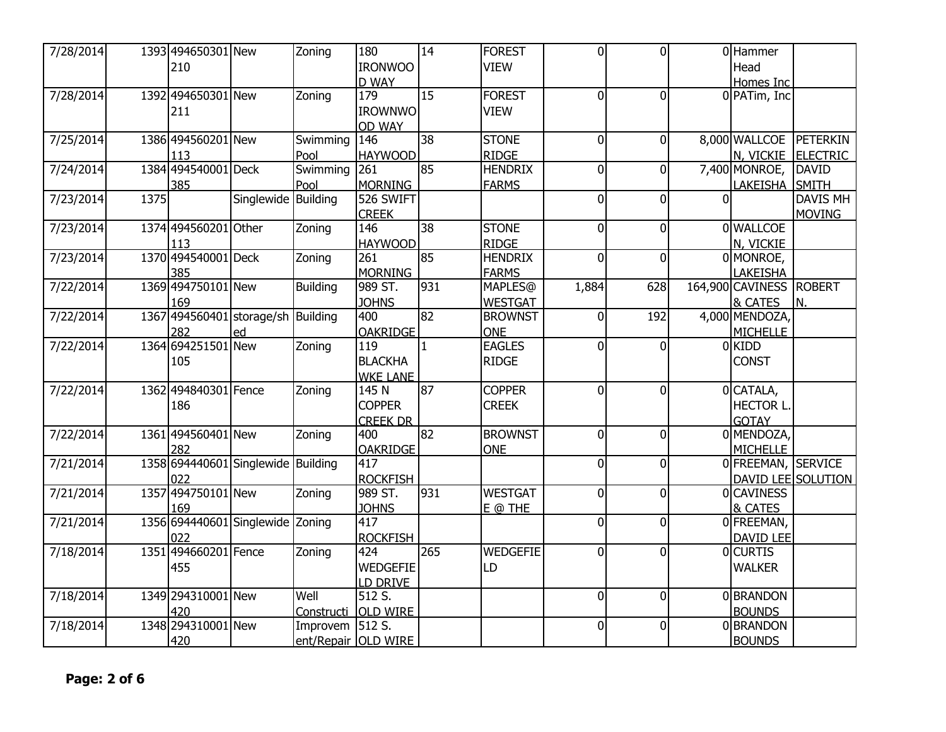| 7/28/2014 |      | 1393 494650301 New                 |            | Zoning     | 180                 | 14              | <b>FOREST</b>   | $\Omega$       | $\overline{0}$ |          | 0 Hammer                |                    |
|-----------|------|------------------------------------|------------|------------|---------------------|-----------------|-----------------|----------------|----------------|----------|-------------------------|--------------------|
|           |      | 210                                |            |            | <b>IRONWOO</b>      |                 | <b>VIEW</b>     |                |                |          | Head                    |                    |
|           |      |                                    |            |            | <b>D_WAY</b>        |                 |                 |                |                |          | Homes Inc               |                    |
| 7/28/2014 |      | 1392 494650301 New                 |            | Zoning     | 179                 | $\overline{15}$ | <b>FOREST</b>   | $\Omega$       | $\Omega$       |          | 0 PATim, Inc            |                    |
|           |      | 211                                |            |            | <b>IROWNWO</b>      |                 | <b>VIEW</b>     |                |                |          |                         |                    |
|           |      |                                    |            |            | <b>OD WAY</b>       |                 |                 |                |                |          |                         |                    |
| 7/25/2014 |      | 1386 494560201 New                 |            | Swimming   | 146                 | 38              | <b>STONE</b>    | $\overline{0}$ | $\overline{0}$ |          | 8,000 WALLCOE PETERKIN  |                    |
|           |      | 113                                |            | Pool       | <b>HAYWOOD</b>      |                 | <b>RIDGE</b>    |                |                |          |                         | N, VICKIE ELECTRIC |
| 7/24/2014 |      | 1384 494540001 Deck                |            | Swimming   | 261                 | 85              | <b>HENDRIX</b>  | $\Omega$       | $\overline{0}$ |          | 7,400 MONROE,           | DAVID              |
|           |      | 385                                |            | Pool       | MORNING             |                 | <b>FARMS</b>    |                |                |          | LAKEISHA                | SMITH              |
| 7/23/2014 | 1375 |                                    | Singlewide | Building   | 526 SWIFT           |                 |                 | $\Omega$       | $\mathbf{0}$   | $\Omega$ |                         | <b>DAVIS MH</b>    |
|           |      |                                    |            |            | <b>CREEK</b>        |                 |                 |                |                |          |                         | <b>MOVING</b>      |
| 7/23/2014 |      | 1374 494560201 Other               |            | Zoning     | 146                 | $\overline{38}$ | <b>STONE</b>    | $\Omega$       | $\Omega$       |          | 0 WALLCOE               |                    |
|           |      | 113                                |            |            | <b>HAYWOOD</b>      |                 | <b>RIDGE</b>    |                |                |          | N, VICKIE               |                    |
| 7/23/2014 |      | 1370 494540001 Deck                |            | Zoning     | $\overline{261}$    | 85              | <b>HENDRIX</b>  | $\Omega$       | $\overline{0}$ |          | 0 MONROE,               |                    |
|           |      | 385                                |            |            | <b>MORNING</b>      |                 | <b>FARMS</b>    |                |                |          | LAKEISHA                |                    |
| 7/22/2014 |      | 1369 494750101 New                 |            | Building   | 989 ST.             | 931             | MAPLES@         | 1,884          | 628            |          | 164,900 CAVINESS ROBERT |                    |
|           |      | 169                                |            |            | <b>JOHNS</b>        |                 | <b>WESTGAT</b>  |                |                |          | & CATES                 | IN.                |
| 7/22/2014 |      | 1367 494560401 storage/sh Building |            |            | 400                 | 82              | <b>BROWNST</b>  | $\overline{0}$ | 192            |          | 4,000 MENDOZA,          |                    |
|           |      | 282                                | ed         |            | <b>OAKRIDGE</b>     |                 | <b>ONE</b>      |                |                |          | <b>MICHELLE</b>         |                    |
| 7/22/2014 |      | 1364 694251501 New                 |            | Zoning     | 119                 | $\mathbf{1}$    | <b>EAGLES</b>   | $\Omega$       | $\overline{0}$ |          | <b>OKIDD</b>            |                    |
|           |      | 105                                |            |            | <b>BLACKHA</b>      |                 | <b>RIDGE</b>    |                |                |          | <b>CONST</b>            |                    |
|           |      |                                    |            |            | <b>WKE LANE</b>     |                 |                 |                |                |          |                         |                    |
| 7/22/2014 |      | 1362 494840301 Fence               |            | Zoning     | 145 N               | $\overline{87}$ | <b>COPPER</b>   | $\Omega$       | $\overline{0}$ |          | 0CATALA,                |                    |
|           |      | 186                                |            |            | <b>COPPER</b>       |                 | <b>CREEK</b>    |                |                |          | <b>HECTOR L.</b>        |                    |
|           |      |                                    |            |            | <b>CREEK DR</b>     |                 |                 |                |                |          | <b>GOTAY</b>            |                    |
| 7/22/2014 |      | 1361 494560401 New                 |            | Zoning     | 400                 | 82              | <b>BROWNST</b>  | $\overline{0}$ | $\overline{0}$ |          | 0 MENDOZA,              |                    |
|           |      | 282                                |            |            | <b>OAKRIDGE</b>     |                 | <b>ONE</b>      |                |                |          | <b>MICHELLE</b>         |                    |
| 7/21/2014 |      | 1358 694440601 Singlewide Building |            |            | 417                 |                 |                 | $\Omega$       | $\overline{0}$ |          | 0 FREEMAN, SERVICE      |                    |
|           |      | 022                                |            |            | <b>ROCKFISH</b>     |                 |                 |                |                |          |                         | DAVID LEE SOLUTION |
| 7/21/2014 |      | 1357 494750101 New                 |            | Zoning     | 989 ST.             | 931             | <b>WESTGAT</b>  | $\Omega$       | $\overline{0}$ |          | 0 CAVINESS              |                    |
|           |      | 169                                |            |            | <b>JOHNS</b>        |                 | $E$ @ THE       |                |                |          | <b>&amp; CATES</b>      |                    |
| 7/21/2014 |      | 1356 694440601 Singlewide Zoning   |            |            | 417                 |                 |                 | $\Omega$       | $\overline{0}$ |          | 0FREEMAN,               |                    |
|           |      | 022                                |            |            | <b>ROCKFISH</b>     |                 |                 |                |                |          | <b>DAVID LEE</b>        |                    |
| 7/18/2014 |      | 1351 494660201 Fence               |            | Zoning     | 424                 | 265             | <b>WEDGEFIE</b> | $\Omega$       | $\overline{0}$ |          | <b>OCURTIS</b>          |                    |
|           |      | 455                                |            |            | <b>WEDGEFIE</b>     |                 | LD              |                |                |          | <b>WALKER</b>           |                    |
|           |      |                                    |            |            | LD DRIVE            |                 |                 |                |                |          |                         |                    |
| 7/18/2014 |      | 1349 294310001 New                 |            | Well       | 512 S.              |                 |                 | $\overline{0}$ | $\overline{0}$ |          | 0BRANDON                |                    |
|           |      | 420                                |            | Constructi | <b>OLD WIRE</b>     |                 |                 |                |                |          | <b>BOUNDS</b>           |                    |
| 7/18/2014 |      | 1348 294310001 New                 |            | Improvem   | 512 S.              |                 |                 | $\Omega$       | $\overline{0}$ |          | 0 BRANDON               |                    |
|           |      | 420                                |            |            | ent/Repair OLD WIRE |                 |                 |                |                |          | <b>BOUNDS</b>           |                    |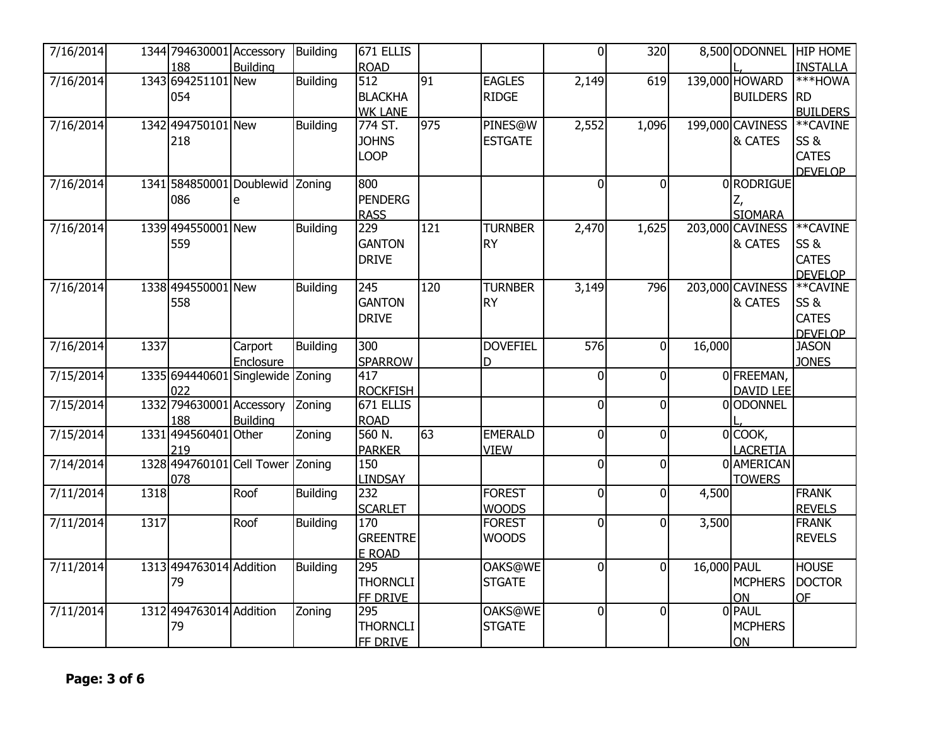| 7/16/2014 |      | 1344 794630001 Accessory |                                  | Building        | $\overline{67}1$ ELLIS |     |                 | 0I             | 320            |             |                            | 8,500 ODONNEL HIP HOME |
|-----------|------|--------------------------|----------------------------------|-----------------|------------------------|-----|-----------------|----------------|----------------|-------------|----------------------------|------------------------|
|           |      | 188                      | <b>Building</b>                  |                 | <b>ROAD</b>            |     |                 |                |                |             |                            | <b>INSTALLA</b>        |
| 7/16/2014 |      | 1343 694251101 New       |                                  | <b>Building</b> | 512                    | 91  | <b>EAGLES</b>   | 2,149          | 619            |             | 139,000 HOWARD             | ***HOWA                |
|           |      | 054                      |                                  |                 | <b>BLACKHA</b>         |     | <b>RIDGE</b>    |                |                |             | <b>BUILDERS RD</b>         |                        |
|           |      |                          |                                  |                 | <b>WK LANE</b>         |     |                 |                |                |             |                            | <b>BUILDERS</b>        |
| 7/16/2014 |      | 1342 494750101 New       |                                  | <b>Building</b> | 774 ST.                | 975 | PINES@W         | 2,552          | 1,096          |             | 199,000 CAVINESS           | **CAVINE               |
|           |      | 218                      |                                  |                 | <b>JOHNS</b>           |     | <b>ESTGATE</b>  |                |                |             | & CATES                    | SS&                    |
|           |      |                          |                                  |                 | <b>LOOP</b>            |     |                 |                |                |             |                            | <b>CATES</b>           |
|           |      |                          |                                  |                 |                        |     |                 |                |                |             |                            | <b>DEVELOP</b>         |
| 7/16/2014 |      |                          | 1341 584850001 Doublewid Zoning  |                 | 800                    |     |                 | $\overline{0}$ | $\overline{0}$ |             | 0 RODRIGUE                 |                        |
|           |      | 086                      | e                                |                 | <b>PENDERG</b>         |     |                 |                |                |             |                            |                        |
|           |      |                          |                                  |                 | <b>RASS</b>            |     |                 |                |                |             | <b>SIOMARA</b>             |                        |
| 7/16/2014 |      | 1339 494550001 New       |                                  | <b>Building</b> | 229                    | 121 | <b>TURNBER</b>  | 2,470          | 1,625          |             | 203,000 CAVINESS ** CAVINE |                        |
|           |      | 559                      |                                  |                 | <b>GANTON</b>          |     | <b>RY</b>       |                |                |             | <b>&amp; CATES</b>         | SS&                    |
|           |      |                          |                                  |                 | <b>DRIVE</b>           |     |                 |                |                |             |                            | <b>CATES</b>           |
|           |      |                          |                                  |                 |                        |     |                 |                |                |             |                            | <b>DEVELOP</b>         |
| 7/16/2014 |      | 1338 494550001 New       |                                  | <b>Building</b> | 245                    | 120 | <b>TURNBER</b>  | 3,149          | 796            |             | 203,000 CAVINESS           | **CAVINE               |
|           |      | 558                      |                                  |                 | <b>GANTON</b>          |     | <b>RY</b>       |                |                |             | & CATES                    | SS&                    |
|           |      |                          |                                  |                 | <b>DRIVE</b>           |     |                 |                |                |             |                            | <b>CATES</b>           |
|           |      |                          |                                  |                 |                        |     |                 |                |                |             |                            | <b>DEVELOP</b>         |
| 7/16/2014 | 1337 |                          | Carport                          | <b>Building</b> | 300                    |     | <b>DOVEFIEL</b> | 576            | $\overline{0}$ | 16,000      |                            | <b>JASON</b>           |
|           |      |                          | Enclosure                        |                 | <b>SPARROW</b>         |     | D               |                |                |             |                            | <b>JONES</b>           |
| 7/15/2014 |      | 1335 694440601           | Singlewide Zoning                |                 | 417                    |     |                 | $\overline{0}$ | 0              |             | 0 FREEMAN,                 |                        |
|           |      | 022                      |                                  |                 | <b>ROCKFISH</b>        |     |                 |                |                |             | <b>DAVID LEE</b>           |                        |
| 7/15/2014 |      | 1332 794630001 Accessory |                                  | Zoning          | 671 ELLIS              |     |                 | 0l             | $\overline{0}$ |             | 00DONNEL                   |                        |
|           |      | 188                      | <b>Building</b>                  |                 | <b>ROAD</b>            |     |                 |                |                |             |                            |                        |
| 7/15/2014 |      | 1331 494560401           | Other                            | Zoning          | 560 N.                 | 63  | <b>EMERALD</b>  | 0              | 0              |             | $0$ COOK,                  |                        |
|           |      | 219                      |                                  |                 | <b>PARKER</b>          |     | <b>VIEW</b>     |                |                |             | <b>LACRETIA</b>            |                        |
| 7/14/2014 |      |                          | 1328 494760101 Cell Tower Zoning |                 | 150                    |     |                 | $\mathbf{0}$   | $\overline{0}$ |             | 0 AMERICAN                 |                        |
|           |      | 078                      |                                  |                 | <b>LINDSAY</b>         |     |                 |                |                |             | <b>TOWERS</b>              |                        |
| 7/11/2014 | 1318 |                          | Roof                             | Building        | 232                    |     | <b>FOREST</b>   | $\overline{0}$ | $\overline{0}$ | 4,500       |                            | <b>FRANK</b>           |
|           |      |                          |                                  |                 | <b>SCARLET</b>         |     | <b>WOODS</b>    |                |                |             |                            | <b>REVELS</b>          |
| 7/11/2014 | 1317 |                          | Roof                             | <b>Building</b> | 170                    |     | <b>FOREST</b>   | $\overline{0}$ | 0              | 3,500       |                            | <b>FRANK</b>           |
|           |      |                          |                                  |                 | <b>GREENTRE</b>        |     | <b>WOODS</b>    |                |                |             |                            | <b>REVELS</b>          |
|           |      |                          |                                  |                 | E ROAD                 |     |                 |                |                |             |                            |                        |
| 7/11/2014 |      | 1313 494763014 Addition  |                                  | <b>Building</b> | 295                    |     | OAKS@WE         | $\overline{0}$ | $\overline{0}$ | 16,000 PAUL |                            | <b>HOUSE</b>           |
|           |      | 79                       |                                  |                 | <b>THORNCLI</b>        |     | <b>STGATE</b>   |                |                |             | MCPHERS                    | <b>DOCTOR</b>          |
|           |      |                          |                                  |                 | <b>FF DRIVE</b>        |     |                 |                |                |             | ON                         | <b>OF</b>              |
| 7/11/2014 |      | 1312 494763014 Addition  |                                  | Zoning          | 295                    |     | <b>OAKS@WE</b>  | 0I             | 0              |             | 0 PAUL                     |                        |
|           |      | 79                       |                                  |                 | <b>THORNCLI</b>        |     | <b>STGATE</b>   |                |                |             | <b>MCPHERS</b>             |                        |
|           |      |                          |                                  |                 | FF DRIVE               |     |                 |                |                |             | <b>ON</b>                  |                        |
|           |      |                          |                                  |                 |                        |     |                 |                |                |             |                            |                        |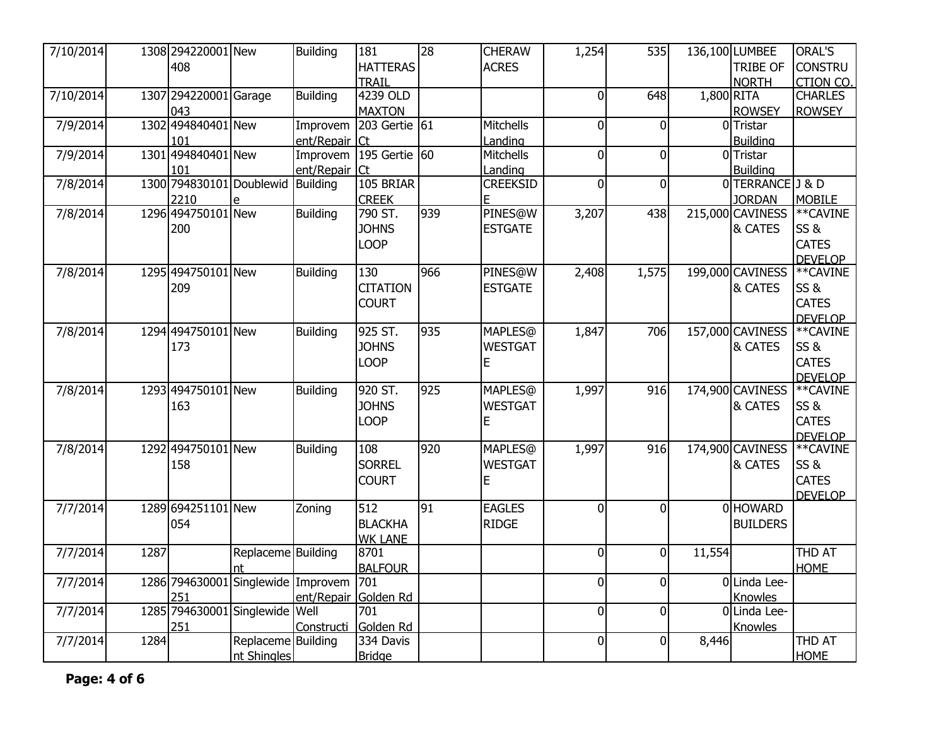| 7/10/2014 |      | 1308 294220001 New                 |                    | <b>Building</b>      | 181              | 28  | <b>CHERAW</b>   | 1,254          | 535            |              | 136,100 LUMBEE             | ORAL'S          |
|-----------|------|------------------------------------|--------------------|----------------------|------------------|-----|-----------------|----------------|----------------|--------------|----------------------------|-----------------|
|           |      | 408                                |                    |                      | <b>HATTERAS</b>  |     | <b>ACRES</b>    |                |                |              | <b>TRIBE OF</b>            | <b>CONSTRU</b>  |
|           |      |                                    |                    |                      | TRAIL            |     |                 |                |                |              | <b>NORTH</b>               | <b>CTION CO</b> |
| 7/10/2014 |      | 1307 294220001 Garage              |                    | <b>Building</b>      | 4239 OLD         |     |                 | $\overline{0}$ | 648            | $1,800$ RITA |                            | <b>CHARLES</b>  |
|           |      | 043                                |                    |                      | <b>MAXTON</b>    |     |                 |                |                |              | <b>ROWSEY</b>              | <b>ROWSEY</b>   |
| 7/9/2014  |      | 1302 494840401 New                 |                    | Improvem             | 203 Gertie $61$  |     | Mitchells       | $\overline{0}$ | $\mathbf 0$    |              | 0Tristar                   |                 |
|           |      | 101                                |                    | ent/Repair           | $ C_t $          |     | Landing         |                |                |              | <b>Building</b>            |                 |
| 7/9/2014  |      | 1301 494840401 New                 |                    | Improvem             | 195 Gertie 60    |     | Mitchells       | $\Omega$       | $\mathbf 0$    |              | 0Tristar                   |                 |
|           |      | 101                                |                    | ent/Repair           | ICt              |     | Landing         |                |                |              | <b>Building</b>            |                 |
| 7/8/2014  |      | 1300 794830101 Doublewid Building  |                    |                      | 105 BRIAR        |     | <b>CREEKSID</b> | $\Omega$       | $\mathbf 0$    |              | 0TERRANCE J & D            |                 |
|           |      | 2210                               | e                  |                      | <b>CREEK</b>     |     | E.              |                |                |              | <b>JORDAN</b>              | <b>MOBILE</b>   |
| 7/8/2014  |      | 1296 494750101 New                 |                    | <b>Building</b>      | 790 ST.          | 939 | PINES@W         | 3,207          | 438            |              | 215,000 CAVINESS           | **CAVINE        |
|           |      | 200                                |                    |                      | <b>JOHNS</b>     |     | <b>ESTGATE</b>  |                |                |              | & CATES                    | SS&             |
|           |      |                                    |                    |                      | <b>LOOP</b>      |     |                 |                |                |              |                            | <b>CATES</b>    |
|           |      |                                    |                    |                      |                  |     |                 |                |                |              |                            | <b>DEVELOP</b>  |
| 7/8/2014  |      | 1295 494750101 New                 |                    | <b>Building</b>      | 130              | 966 | PINES@W         | 2,408          | 1,575          |              | 199,000 CAVINESS           | **CAVINE        |
|           |      | 209                                |                    |                      | <b>CITATION</b>  |     | <b>ESTGATE</b>  |                |                |              | & CATES                    | SS&             |
|           |      |                                    |                    |                      | <b>COURT</b>     |     |                 |                |                |              |                            | <b>CATES</b>    |
|           |      |                                    |                    |                      |                  |     |                 |                |                |              |                            | <b>DEVELOP</b>  |
| 7/8/2014  |      | 1294 494750101 New                 |                    | <b>Building</b>      | 925 ST.          | 935 | MAPLES@         | 1,847          | 706            |              | 157,000 CAVINESS           | **CAVINE        |
|           |      | 173                                |                    |                      | <b>JOHNS</b>     |     | <b>WESTGAT</b>  |                |                |              | & CATES                    | SS&             |
|           |      |                                    |                    |                      | <b>LOOP</b>      |     | E.              |                |                |              |                            | <b>CATES</b>    |
|           |      |                                    |                    |                      |                  |     |                 |                |                |              |                            | <b>DEVELOP</b>  |
| 7/8/2014  |      | 1293 494750101 New                 |                    | <b>Building</b>      | 920 ST.          | 925 | MAPLES@         | 1,997          | 916            |              | 174,900 CAVINESS           | **CAVINE        |
|           |      | 163                                |                    |                      | <b>JOHNS</b>     |     | <b>WESTGAT</b>  |                |                |              | & CATES                    | SS&             |
|           |      |                                    |                    |                      | <b>LOOP</b>      |     | E               |                |                |              |                            | <b>CATES</b>    |
|           |      |                                    |                    |                      |                  |     |                 |                |                |              |                            | <b>DEVELOP</b>  |
| 7/8/2014  |      | 1292 494750101 New                 |                    | <b>Building</b>      | 108              | 920 | MAPLES@         | 1,997          | 916            |              | 174,900 CAVINESS ** CAVINE |                 |
|           |      | 158                                |                    |                      | <b>SORREL</b>    |     | <b>WESTGAT</b>  |                |                |              | & CATES                    | SS&             |
|           |      |                                    |                    |                      | <b>COURT</b>     |     | E               |                |                |              |                            | <b>CATES</b>    |
|           |      |                                    |                    |                      |                  |     |                 |                |                |              |                            | <b>DEVELOP</b>  |
| 7/7/2014  |      | 1289 694251101 New                 |                    | Zoning               | 512              | 91  | <b>EAGLES</b>   | $\overline{0}$ | $\overline{0}$ |              | 0 HOWARD                   |                 |
|           |      | 054                                |                    |                      | <b>BLACKHA</b>   |     | <b>RIDGE</b>    |                |                |              | <b>BUILDERS</b>            |                 |
|           |      |                                    |                    |                      | <b>WK LANE</b>   |     |                 |                |                |              |                            |                 |
| 7/7/2014  | 1287 |                                    | Replaceme Building |                      | 8701             |     |                 | $\overline{0}$ | $\overline{0}$ | 11,554       |                            | <b>THD AT</b>   |
|           |      |                                    | nt                 |                      | <b>BALFOUR</b>   |     |                 |                |                |              |                            | <b>HOME</b>     |
| 7/7/2014  |      | 1286 794630001 Singlewide Improvem |                    |                      | $\overline{701}$ |     |                 | $\Omega$       | $\overline{0}$ |              | 0 Linda Lee-               |                 |
|           |      | 251                                |                    | ent/Repair Golden Rd |                  |     |                 |                |                |              | Knowles                    |                 |
| 7/7/2014  |      | 1285 794630001                     | Singlewide         | Well                 | 701              |     |                 | $\Omega$       | $\overline{0}$ |              | OLinda Lee-                |                 |
|           |      | 251                                |                    | Constructi           | Golden Rd        |     |                 |                |                |              | Knowles                    |                 |
| 7/7/2014  | 1284 |                                    | Replaceme Building |                      | 334 Davis        |     |                 | $\overline{0}$ | $\overline{0}$ | 8,446        |                            | <b>THD AT</b>   |
|           |      |                                    | nt Shingles        |                      | <b>Bridge</b>    |     |                 |                |                |              |                            | <b>HOME</b>     |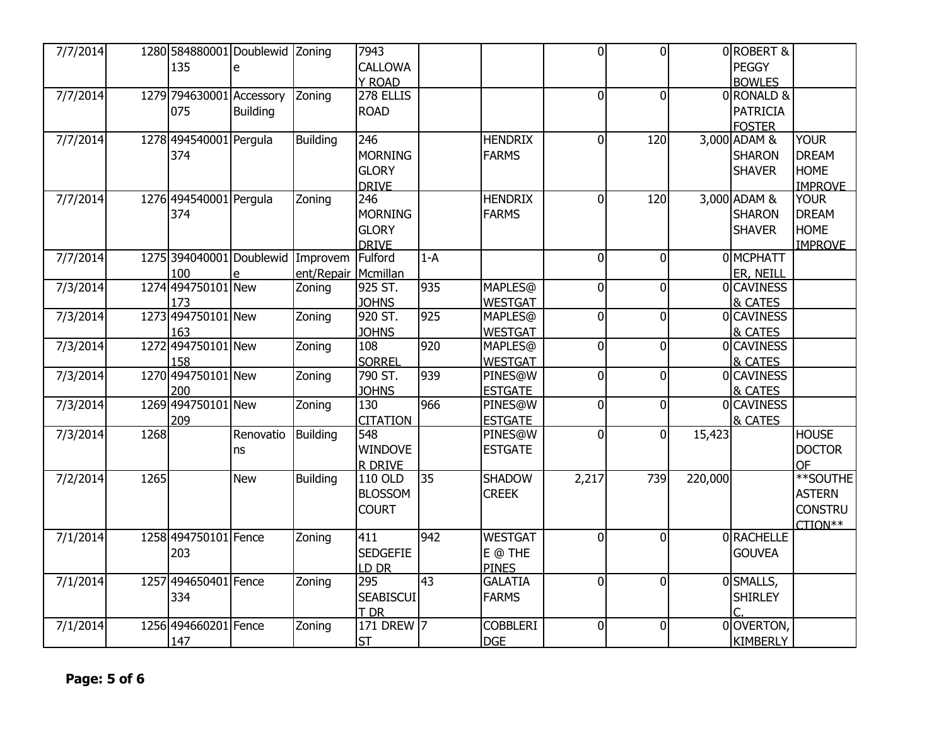| 7/7/2014 |      | 1280 584880001 Doublewid Zoning   |                 |                     | 7943             |       |                 | $\Omega$       | $\overline{0}$ |         | 0ROBERT&         |                |
|----------|------|-----------------------------------|-----------------|---------------------|------------------|-------|-----------------|----------------|----------------|---------|------------------|----------------|
|          |      | 135                               | e               |                     | CALLOWA          |       |                 |                |                |         | <b>PEGGY</b>     |                |
|          |      |                                   |                 |                     | Y ROAD           |       |                 |                |                |         | <b>BOWLES</b>    |                |
| 7/7/2014 |      | 1279 794630001 Accessory          |                 | Zoning              | 278 ELLIS        |       |                 | $\overline{0}$ | $\Omega$       |         | 0RONALD &        |                |
|          |      | 075                               | <b>Building</b> |                     | <b>ROAD</b>      |       |                 |                |                |         | <b>PATRICIA</b>  |                |
|          |      |                                   |                 |                     |                  |       |                 |                |                |         | <b>FOSTER</b>    |                |
| 7/7/2014 |      | 1278 494540001 Pergula            |                 | Building            | 246              |       | <b>HENDRIX</b>  | $\overline{0}$ | 120            |         | 3,000 ADAM &     | <b>YOUR</b>    |
|          |      | 374                               |                 |                     | <b>MORNING</b>   |       | <b>FARMS</b>    |                |                |         | <b>SHARON</b>    | <b>DREAM</b>   |
|          |      |                                   |                 |                     | <b>GLORY</b>     |       |                 |                |                |         | <b>SHAVER</b>    | <b>HOME</b>    |
|          |      |                                   |                 |                     | <b>DRIVE</b>     |       |                 |                |                |         |                  | <b>IMPROVE</b> |
| 7/7/2014 |      | 1276 494540001 Pergula            |                 | Zoning              | 246              |       | <b>HENDRIX</b>  | $\Omega$       | 120            |         | 3,000 ADAM &     | <b>YOUR</b>    |
|          |      | 374                               |                 |                     | <b>MORNING</b>   |       | <b>FARMS</b>    |                |                |         | <b>SHARON</b>    | <b>DREAM</b>   |
|          |      |                                   |                 |                     | <b>GLORY</b>     |       |                 |                |                |         | <b>SHAVER</b>    | <b>HOME</b>    |
|          |      |                                   |                 |                     | <b>DRIVE</b>     |       |                 |                |                |         |                  | <b>IMPROVE</b> |
| 7/7/2014 |      | 1275 394040001 Doublewid Improvem |                 |                     | Fulford          | $1-A$ |                 | $\mathbf{0}$   | $\Omega$       |         | 0 MCPHATT        |                |
|          |      | 100                               |                 | ent/Repair Mcmillan |                  |       |                 |                |                |         | ER, NEILL        |                |
| 7/3/2014 |      | 1274 494750101 New                |                 | Zoning              | 925 ST.          | 935   | <b>MAPLES</b> @ | $\overline{0}$ | $\overline{0}$ |         | 0 CAVINESS       |                |
|          |      | 173                               |                 |                     | <b>JOHNS</b>     |       | <b>WESTGAT</b>  |                |                |         | & CATES          |                |
| 7/3/2014 |      | 1273 494750101 New                |                 | Zoning              | 920 ST.          | 925   | <b>MAPLES</b> @ | $\overline{0}$ | $\overline{0}$ |         | 0 CAVINESS       |                |
|          |      | 163                               |                 |                     | <b>JOHNS</b>     |       | <b>WESTGAT</b>  |                |                |         | & CATES          |                |
| 7/3/2014 |      | 1272 494750101 New                |                 | Zoning              | 108              | 920   | <b>MAPLES</b> @ | $\overline{0}$ | $\overline{0}$ |         | <b>OCAVINESS</b> |                |
|          |      | 158                               |                 |                     | <b>SORREL</b>    |       | <b>WESTGAT</b>  |                |                |         | & CATES          |                |
| 7/3/2014 |      | 1270 494750101 New                |                 | Zoning              | 790 ST.          | 939   | PINES@W         | $\mathbf{0}$   | 0              |         | 0 CAVINESS       |                |
|          |      | 200                               |                 |                     | <b>JOHNS</b>     |       | <b>ESTGATE</b>  |                |                |         | & CATES          |                |
| 7/3/2014 |      | 1269 494750101 New                |                 | Zoning              | 130              | 966   | PINES@W         | $\overline{0}$ | $\Omega$       |         | 0 CAVINESS       |                |
|          |      | 209                               |                 |                     | <b>CITATION</b>  |       | <b>ESTGATE</b>  |                |                |         | & CATES          |                |
| 7/3/2014 | 1268 |                                   | Renovatio       | Building            | 548              |       | PINES@W         | $\overline{0}$ | $\Omega$       | 15,423  |                  | <b>HOUSE</b>   |
|          |      |                                   | ns              |                     | <b>WINDOVE</b>   |       | <b>ESTGATE</b>  |                |                |         |                  | <b>DOCTOR</b>  |
|          |      |                                   |                 |                     | <b>R DRIVE</b>   |       |                 |                |                |         |                  | <b>OF</b>      |
| 7/2/2014 | 1265 |                                   | <b>New</b>      | Building            | 110 OLD          | 35    | <b>SHADOW</b>   | 2,217          | 739            | 220,000 |                  | **SOUTHE       |
|          |      |                                   |                 |                     | <b>BLOSSOM</b>   |       | <b>CREEK</b>    |                |                |         |                  | <b>ASTERN</b>  |
|          |      |                                   |                 |                     | <b>COURT</b>     |       |                 |                |                |         |                  | <b>CONSTRU</b> |
|          |      |                                   |                 |                     |                  |       |                 |                |                |         |                  | CTION**        |
| 7/1/2014 |      | 1258 494750101 Fence              |                 | Zoning              | 411              | 942   | <b>WESTGAT</b>  | $\Omega$       | $\Omega$       |         | 0 RACHELLE       |                |
|          |      | 203                               |                 |                     | <b>SEDGEFIE</b>  |       | E @ THE         |                |                |         | <b>GOUVEA</b>    |                |
|          |      |                                   |                 |                     | LD DR            |       | <b>PINES</b>    |                |                |         |                  |                |
| 7/1/2014 |      | 1257 494650401 Fence              |                 | Zoning              | 295              | 43    | <b>GALATIA</b>  | $\overline{0}$ | $\overline{0}$ |         | 0SMALLS,         |                |
|          |      | 334                               |                 |                     | <b>SEABISCUI</b> |       | <b>FARMS</b>    |                |                |         | <b>SHIRLEY</b>   |                |
|          |      |                                   |                 |                     | T DR             |       |                 |                |                |         |                  |                |
| 7/1/2014 |      | 1256 494660201 Fence              |                 | Zoning              | 171 DREW 7       |       | <b>COBBLERI</b> | $\overline{0}$ | $\Omega$       |         | 0OVERTON,        |                |
|          |      | 147                               |                 |                     | <b>ST</b>        |       | <b>DGE</b>      |                |                |         | <b>KIMBERLY</b>  |                |